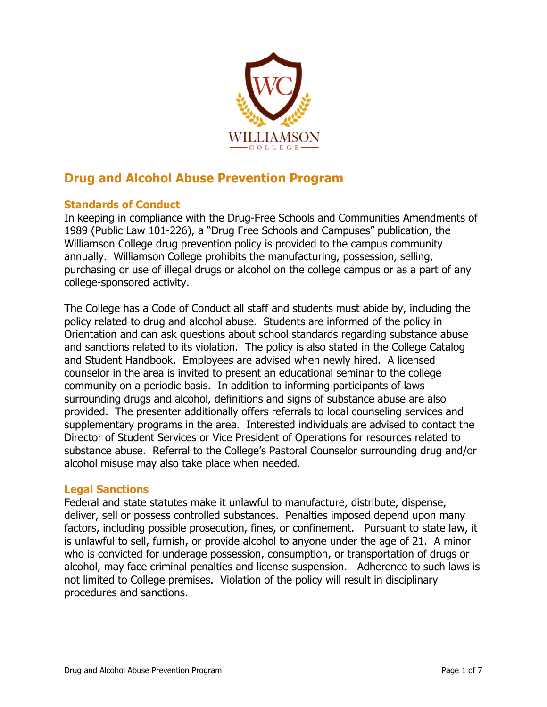

# **Drug and Alcohol Abuse Prevention Program**

#### **Standards of Conduct**

In keeping in compliance with the Drug-Free Schools and Communities Amendments of 1989 (Public Law 101-226), a "Drug Free Schools and Campuses" publication, the Williamson College drug prevention policy is provided to the campus community annually. Williamson College prohibits the manufacturing, possession, selling, purchasing or use of illegal drugs or alcohol on the college campus or as a part of any college-sponsored activity.

The College has a Code of Conduct all staff and students must abide by, including the policy related to drug and alcohol abuse. Students are informed of the policy in Orientation and can ask questions about school standards regarding substance abuse and sanctions related to its violation. The policy is also stated in the College Catalog and Student Handbook. Employees are advised when newly hired. A licensed counselor in the area is invited to present an educational seminar to the college community on a periodic basis. In addition to informing participants of laws surrounding drugs and alcohol, definitions and signs of substance abuse are also provided. The presenter additionally offers referrals to local counseling services and supplementary programs in the area. Interested individuals are advised to contact the Director of Student Services or Vice President of Operations for resources related to substance abuse. Referral to the College's Pastoral Counselor surrounding drug and/or alcohol misuse may also take place when needed.

#### **Legal Sanctions**

Federal and state statutes make it unlawful to manufacture, distribute, dispense, deliver, sell or possess controlled substances. Penalties imposed depend upon many factors, including possible prosecution, fines, or confinement. Pursuant to state law, it is unlawful to sell, furnish, or provide alcohol to anyone under the age of 21. A minor who is convicted for underage possession, consumption, or transportation of drugs or alcohol, may face criminal penalties and license suspension. Adherence to such laws is not limited to College premises. Violation of the policy will result in disciplinary procedures and sanctions.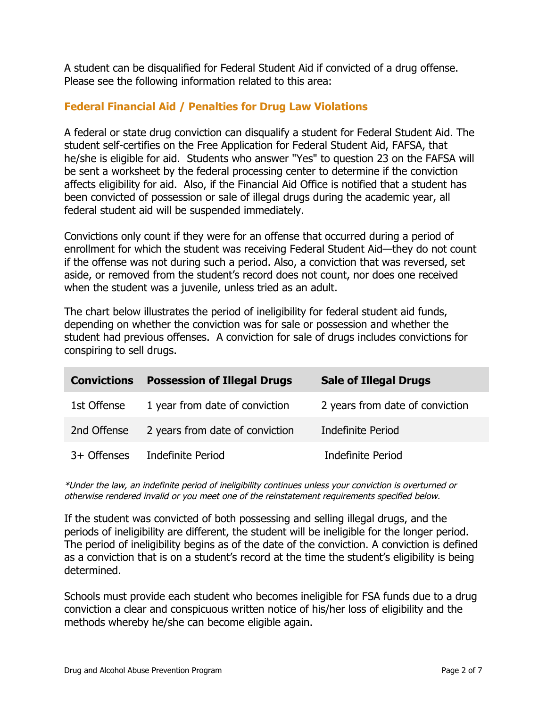A student can be disqualified for Federal Student Aid if convicted of a drug offense. Please see the following information related to this area:

# **Federal Financial Aid / Penalties for Drug Law Violations**

A federal or state drug conviction can disqualify a student for Federal Student Aid. The student self-certifies on the Free Application for Federal Student Aid, FAFSA, that he/she is eligible for aid. Students who answer "Yes" to question 23 on the FAFSA will be sent a worksheet by the federal processing center to determine if the conviction affects eligibility for aid. Also, if the Financial Aid Office is notified that a student has been convicted of possession or sale of illegal drugs during the academic year, all federal student aid will be suspended immediately.

Convictions only count if they were for an offense that occurred during a period of enrollment for which the student was receiving Federal Student Aid—they do not count if the offense was not during such a period. Also, a conviction that was reversed, set aside, or removed from the student's record does not count, nor does one received when the student was a juvenile, unless tried as an adult.

The chart below illustrates the period of ineligibility for federal student aid funds, depending on whether the conviction was for sale or possession and whether the student had previous offenses. A conviction for sale of drugs includes convictions for conspiring to sell drugs.

| <b>Convictions</b> | <b>Possession of Illegal Drugs</b> | <b>Sale of Illegal Drugs</b>    |
|--------------------|------------------------------------|---------------------------------|
| 1st Offense        | 1 year from date of conviction     | 2 years from date of conviction |
| 2nd Offense        | 2 years from date of conviction    | Indefinite Period               |
| 3+ Offenses        | Indefinite Period                  | Indefinite Period               |

\*Under the law, an indefinite period of ineligibility continues unless your conviction is overturned or otherwise rendered invalid or you meet one of the reinstatement requirements specified below.

If the student was convicted of both possessing and selling illegal drugs, and the periods of ineligibility are different, the student will be ineligible for the longer period. The period of ineligibility begins as of the date of the conviction. A conviction is defined as a conviction that is on a student's record at the time the student's eligibility is being determined.

Schools must provide each student who becomes ineligible for FSA funds due to a drug conviction a clear and conspicuous written notice of his/her loss of eligibility and the methods whereby he/she can become eligible again.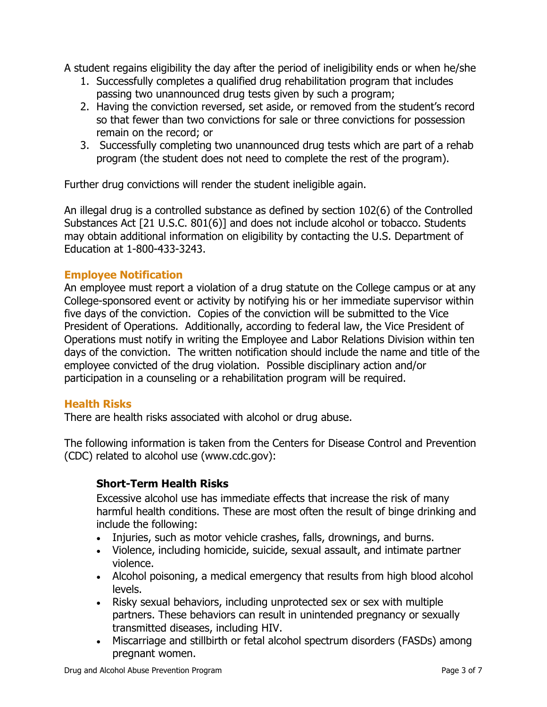A student regains eligibility the day after the period of ineligibility ends or when he/she

- 1. Successfully completes a qualified drug rehabilitation program that includes passing two unannounced drug tests given by such a program;
- 2. Having the conviction reversed, set aside, or removed from the student's record so that fewer than two convictions for sale or three convictions for possession remain on the record; or
- 3. Successfully completing two unannounced drug tests which are part of a rehab program (the student does not need to complete the rest of the program).

Further drug convictions will render the student ineligible again.

An illegal drug is a controlled substance as defined by section 102(6) of the Controlled Substances Act [21 U.S.C. 801(6)] and does not include alcohol or tobacco. Students may obtain additional information on eligibility by contacting the U.S. Department of Education at 1-800-433-3243.

# **Employee Notification**

An employee must report a violation of a drug statute on the College campus or at any College-sponsored event or activity by notifying his or her immediate supervisor within five days of the conviction. Copies of the conviction will be submitted to the Vice President of Operations. Additionally, according to federal law, the Vice President of Operations must notify in writing the Employee and Labor Relations Division within ten days of the conviction. The written notification should include the name and title of the employee convicted of the drug violation. Possible disciplinary action and/or participation in a counseling or a rehabilitation program will be required.

# **Health Risks**

There are health risks associated with alcohol or drug abuse.

The following information is taken from the Centers for Disease Control and Prevention (CDC) related to alcohol use (www.cdc.gov):

# **Short-Term Health Risks**

Excessive alcohol use has immediate effects that increase the risk of many harmful health conditions. These are most often the result of binge drinking and include the following:

- Injuries, such as motor vehicle crashes, falls, drownings, and burns.
- Violence, including homicide, suicide, sexual assault, and intimate partner violence.
- Alcohol poisoning, a medical emergency that results from high blood alcohol levels.
- Risky sexual behaviors, including unprotected sex or sex with multiple partners. These behaviors can result in unintended pregnancy or sexually transmitted diseases, including HIV.
- Miscarriage and stillbirth or fetal alcohol spectrum disorders (FASDs) among pregnant women.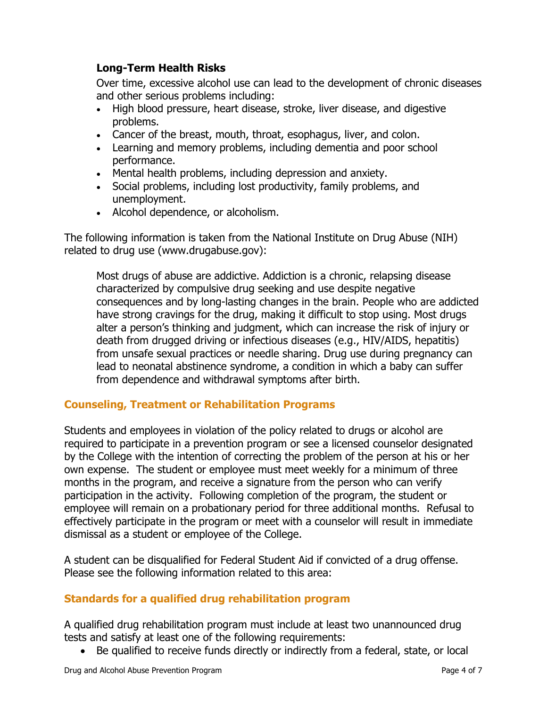# **Long-Term Health Risks**

Over time, excessive alcohol use can lead to the development of chronic diseases and other serious problems including:

- High blood pressure, heart disease, stroke, liver disease, and digestive problems.
- Cancer of the breast, mouth, throat, esophagus, liver, and colon.
- Learning and memory problems, including dementia and poor school performance.
- Mental health problems, including depression and anxiety.
- Social problems, including lost productivity, family problems, and unemployment.
- Alcohol dependence, or alcoholism.

The following information is taken from the National Institute on Drug Abuse (NIH) related to drug use (www.drugabuse.gov):

Most drugs of abuse are addictive. Addiction is a chronic, relapsing disease characterized by compulsive drug seeking and use despite negative consequences and by long-lasting changes in the brain. People who are addicted have strong cravings for the drug, making it difficult to stop using. Most drugs alter a person's thinking and judgment, which can increase the risk of injury or death from drugged driving or infectious diseases (e.g., HIV/AIDS, hepatitis) from unsafe sexual practices or needle sharing. Drug use during pregnancy can lead to neonatal abstinence syndrome, a condition in which a baby can suffer from dependence and withdrawal symptoms after birth.

# **Counseling, Treatment or Rehabilitation Programs**

Students and employees in violation of the policy related to drugs or alcohol are required to participate in a prevention program or see a licensed counselor designated by the College with the intention of correcting the problem of the person at his or her own expense. The student or employee must meet weekly for a minimum of three months in the program, and receive a signature from the person who can verify participation in the activity. Following completion of the program, the student or employee will remain on a probationary period for three additional months. Refusal to effectively participate in the program or meet with a counselor will result in immediate dismissal as a student or employee of the College.

A student can be disqualified for Federal Student Aid if convicted of a drug offense. Please see the following information related to this area:

# **Standards for a qualified drug rehabilitation program**

A qualified drug rehabilitation program must include at least two unannounced drug tests and satisfy at least one of the following requirements:

• Be qualified to receive funds directly or indirectly from a federal, state, or local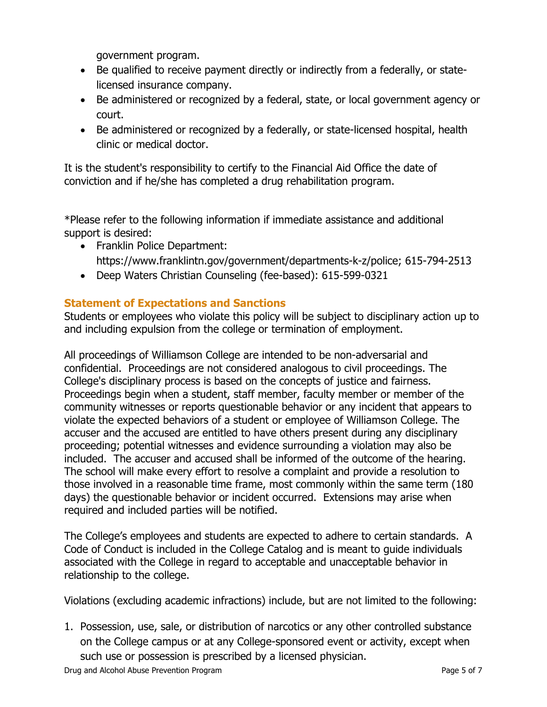government program.

- Be qualified to receive payment directly or indirectly from a federally, or statelicensed insurance company.
- Be administered or recognized by a federal, state, or local government agency or court.
- Be administered or recognized by a federally, or state-licensed hospital, health clinic or medical doctor.

It is the student's responsibility to certify to the Financial Aid Office the date of conviction and if he/she has completed a drug rehabilitation program.

\*Please refer to the following information if immediate assistance and additional support is desired:

- Franklin Police Department: https://www.franklintn.gov/government/departments-k-z/police; 615-794-2513
- Deep Waters Christian Counseling (fee-based): 615-599-0321

# **Statement of Expectations and Sanctions**

Students or employees who violate this policy will be subject to disciplinary action up to and including expulsion from the college or termination of employment.

All proceedings of Williamson College are intended to be non-adversarial and confidential. Proceedings are not considered analogous to civil proceedings. The College's disciplinary process is based on the concepts of justice and fairness. Proceedings begin when a student, staff member, faculty member or member of the community witnesses or reports questionable behavior or any incident that appears to violate the expected behaviors of a student or employee of Williamson College. The accuser and the accused are entitled to have others present during any disciplinary proceeding; potential witnesses and evidence surrounding a violation may also be included. The accuser and accused shall be informed of the outcome of the hearing. The school will make every effort to resolve a complaint and provide a resolution to those involved in a reasonable time frame, most commonly within the same term (180 days) the questionable behavior or incident occurred. Extensions may arise when required and included parties will be notified.

The College's employees and students are expected to adhere to certain standards. A Code of Conduct is included in the College Catalog and is meant to guide individuals associated with the College in regard to acceptable and unacceptable behavior in relationship to the college.

Violations (excluding academic infractions) include, but are not limited to the following:

1. Possession, use, sale, or distribution of narcotics or any other controlled substance on the College campus or at any College-sponsored event or activity, except when such use or possession is prescribed by a licensed physician.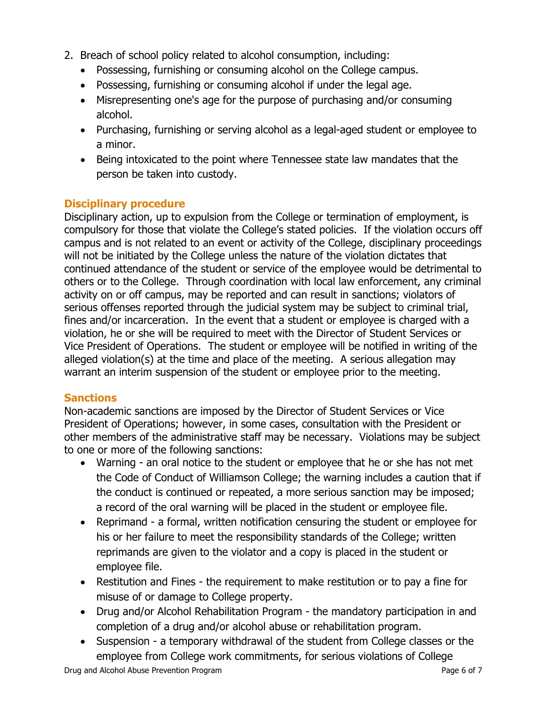- 2. Breach of school policy related to alcohol consumption, including:
	- Possessing, furnishing or consuming alcohol on the College campus.
	- Possessing, furnishing or consuming alcohol if under the legal age.
	- Misrepresenting one's age for the purpose of purchasing and/or consuming alcohol.
	- Purchasing, furnishing or serving alcohol as a legal-aged student or employee to a minor.
	- Being intoxicated to the point where Tennessee state law mandates that the person be taken into custody.

#### **Disciplinary procedure**

Disciplinary action, up to expulsion from the College or termination of employment, is compulsory for those that violate the College's stated policies. If the violation occurs off campus and is not related to an event or activity of the College, disciplinary proceedings will not be initiated by the College unless the nature of the violation dictates that continued attendance of the student or service of the employee would be detrimental to others or to the College. Through coordination with local law enforcement, any criminal activity on or off campus, may be reported and can result in sanctions; violators of serious offenses reported through the judicial system may be subject to criminal trial, fines and/or incarceration. In the event that a student or employee is charged with a violation, he or she will be required to meet with the Director of Student Services or Vice President of Operations. The student or employee will be notified in writing of the alleged violation(s) at the time and place of the meeting. A serious allegation may warrant an interim suspension of the student or employee prior to the meeting.

# **Sanctions**

Non-academic sanctions are imposed by the Director of Student Services or Vice President of Operations; however, in some cases, consultation with the President or other members of the administrative staff may be necessary. Violations may be subject to one or more of the following sanctions:

- Warning an oral notice to the student or employee that he or she has not met the Code of Conduct of Williamson College; the warning includes a caution that if the conduct is continued or repeated, a more serious sanction may be imposed; a record of the oral warning will be placed in the student or employee file.
- Reprimand a formal, written notification censuring the student or employee for his or her failure to meet the responsibility standards of the College; written reprimands are given to the violator and a copy is placed in the student or employee file.
- Restitution and Fines the requirement to make restitution or to pay a fine for misuse of or damage to College property.
- Drug and/or Alcohol Rehabilitation Program the mandatory participation in and completion of a drug and/or alcohol abuse or rehabilitation program.
- Suspension a temporary withdrawal of the student from College classes or the employee from College work commitments, for serious violations of College